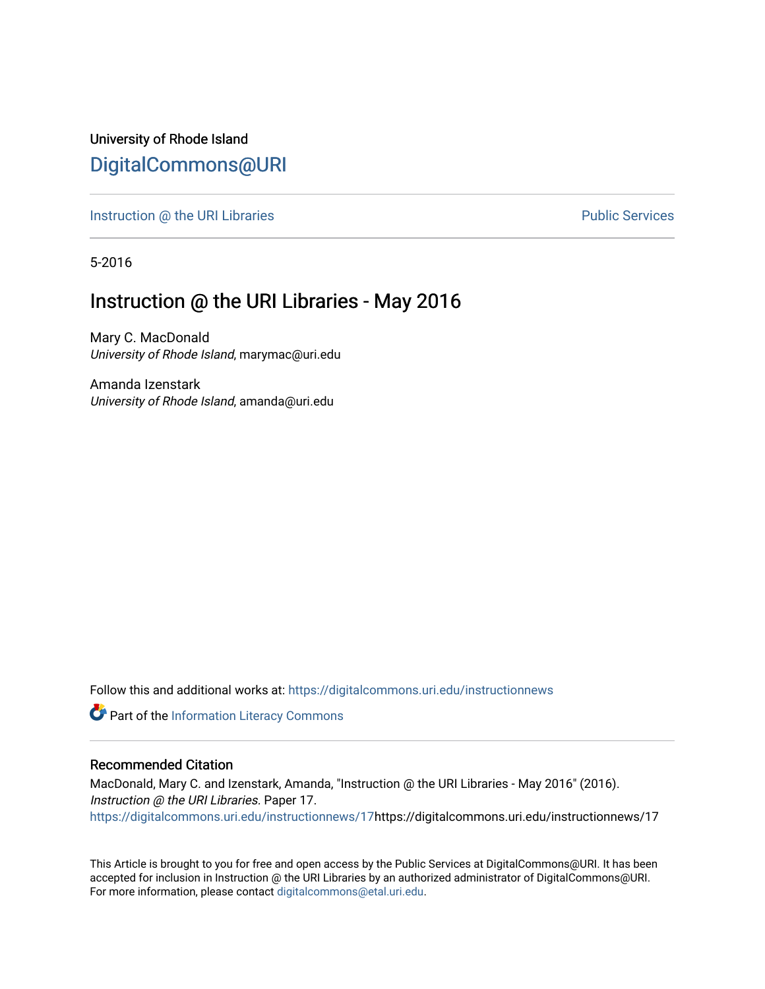University of Rhode Island [DigitalCommons@URI](https://digitalcommons.uri.edu/) 

[Instruction @ the URI Libraries](https://digitalcommons.uri.edu/instructionnews) **Public Services** Public Services

5-2016

## Instruction @ the URI Libraries - May 2016

Mary C. MacDonald University of Rhode Island, marymac@uri.edu

Amanda Izenstark University of Rhode Island, amanda@uri.edu

Follow this and additional works at: [https://digitalcommons.uri.edu/instructionnews](https://digitalcommons.uri.edu/instructionnews?utm_source=digitalcommons.uri.edu%2Finstructionnews%2F17&utm_medium=PDF&utm_campaign=PDFCoverPages)

Part of the [Information Literacy Commons](http://network.bepress.com/hgg/discipline/1243?utm_source=digitalcommons.uri.edu%2Finstructionnews%2F17&utm_medium=PDF&utm_campaign=PDFCoverPages)

#### Recommended Citation

MacDonald, Mary C. and Izenstark, Amanda, "Instruction @ the URI Libraries - May 2016" (2016). Instruction @ the URI Libraries. Paper 17. [https://digitalcommons.uri.edu/instructionnews/17h](https://digitalcommons.uri.edu/instructionnews/17?utm_source=digitalcommons.uri.edu%2Finstructionnews%2F17&utm_medium=PDF&utm_campaign=PDFCoverPages)ttps://digitalcommons.uri.edu/instructionnews/17

This Article is brought to you for free and open access by the Public Services at DigitalCommons@URI. It has been accepted for inclusion in Instruction @ the URI Libraries by an authorized administrator of DigitalCommons@URI. For more information, please contact [digitalcommons@etal.uri.edu](mailto:digitalcommons@etal.uri.edu).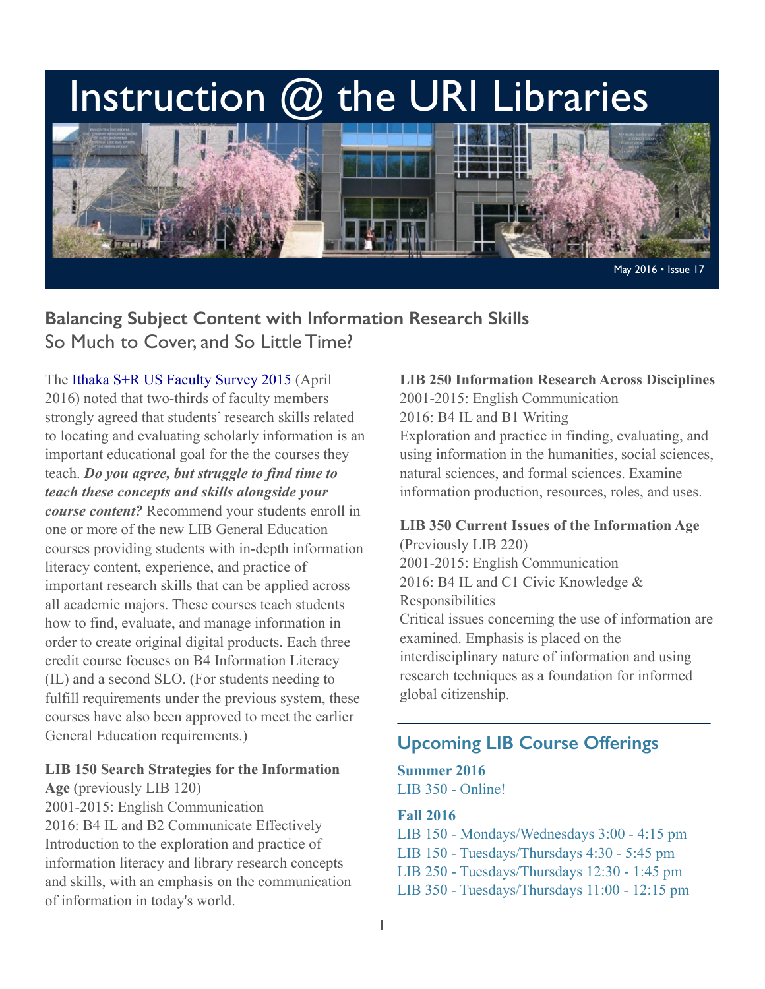# Instruction @ the URI Libraries



## **Balancing Subject Content with Information Research Skills**  So Much to Cover, and So Little Time?

The [Ithaka S+R US Faculty Survey 2015](http://www.sr.ithaka.org/publications/ithaka-sr-us-faculty-survey-2015/) (April 2016) noted that two-thirds of faculty members strongly agreed that students' research skills related to locating and evaluating scholarly information is an important educational goal for the the courses they teach. *Do you agree, but struggle to find time to teach these concepts and skills alongside your course content?* Recommend your students enroll in one or more of the new LIB General Education courses providing students with in-depth information literacy content, experience, and practice of important research skills that can be applied across all academic majors. These courses teach students how to find, evaluate, and manage information in order to create original digital products. Each three credit course focuses on B4 Information Literacy (IL) and a second SLO. (For students needing to fulfill requirements under the previous system, these courses have also been approved to meet the earlier General Education requirements.)

#### **LIB 150 Search Strategies for the Information**

**Age** (previously LIB 120) 2001-2015: English Communication 2016: B4 IL and B2 Communicate Effectively Introduction to the exploration and practice of information literacy and library research concepts and skills, with an emphasis on the communication of information in today's world.

#### **LIB 250 Information Research Across Disciplines**

2001-2015: English Communication 2016: B4 IL and B1 Writing Exploration and practice in finding, evaluating, and using information in the humanities, social sciences, natural sciences, and formal sciences. Examine information production, resources, roles, and uses.

## **LIB 350 Current Issues of the Information Age**

(Previously LIB 220) 2001-2015: English Communication 2016: B4 IL and C1 Civic Knowledge & Responsibilities Critical issues concerning the use of information are examined. Emphasis is placed on the interdisciplinary nature of information and using research techniques as a foundation for informed global citizenship.

## **Upcoming LIB Course Offerings**

#### **Summer 2016**  LIB 350 - Online!

**Fall 2016** 

LIB 150 - Mondays/Wednesdays 3:00 - 4:15 pm LIB 150 - Tuesdays/Thursdays 4:30 - 5:45 pm LIB 250 - Tuesdays/Thursdays 12:30 - 1:45 pm LIB 350 - Tuesdays/Thursdays 11:00 - 12:15 pm